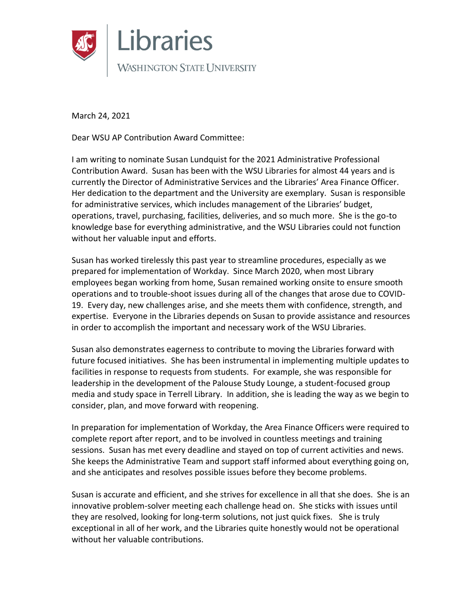

March 24, 2021

Dear WSU AP Contribution Award Committee:

I am writing to nominate Susan Lundquist for the 2021 Administrative Professional Contribution Award. Susan has been with the WSU Libraries for almost 44 years and is currently the Director of Administrative Services and the Libraries' Area Finance Officer. Her dedication to the department and the University are exemplary. Susan is responsible for administrative services, which includes management of the Libraries' budget, operations, travel, purchasing, facilities, deliveries, and so much more. She is the go-to knowledge base for everything administrative, and the WSU Libraries could not function without her valuable input and efforts.

Susan has worked tirelessly this past year to streamline procedures, especially as we prepared for implementation of Workday. Since March 2020, when most Library employees began working from home, Susan remained working onsite to ensure smooth operations and to trouble-shoot issues during all of the changes that arose due to COVID-19. Every day, new challenges arise, and she meets them with confidence, strength, and expertise. Everyone in the Libraries depends on Susan to provide assistance and resources in order to accomplish the important and necessary work of the WSU Libraries.

Susan also demonstrates eagerness to contribute to moving the Libraries forward with future focused initiatives. She has been instrumental in implementing multiple updates to facilities in response to requests from students. For example, she was responsible for leadership in the development of the Palouse Study Lounge, a student-focused group media and study space in Terrell Library. In addition, she is leading the way as we begin to consider, plan, and move forward with reopening.

In preparation for implementation of Workday, the Area Finance Officers were required to complete report after report, and to be involved in countless meetings and training sessions. Susan has met every deadline and stayed on top of current activities and news. She keeps the Administrative Team and support staff informed about everything going on, and she anticipates and resolves possible issues before they become problems.

Susan is accurate and efficient, and she strives for excellence in all that she does. She is an innovative problem-solver meeting each challenge head on. She sticks with issues until they are resolved, looking for long-term solutions, not just quick fixes. She is truly exceptional in all of her work, and the Libraries quite honestly would not be operational without her valuable contributions.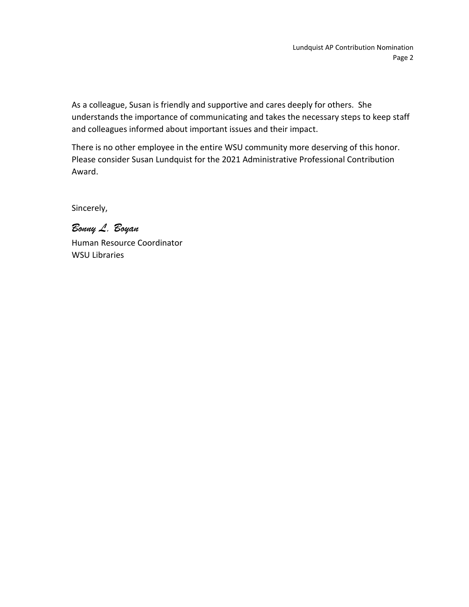As a colleague, Susan is friendly and supportive and cares deeply for others. She understands the importance of communicating and takes the necessary steps to keep staff and colleagues informed about important issues and their impact.

There is no other employee in the entire WSU community more deserving of this honor. Please consider Susan Lundquist for the 2021 Administrative Professional Contribution Award.

Sincerely,

*Bonny L. Boyan* Human Resource Coordinator WSU Libraries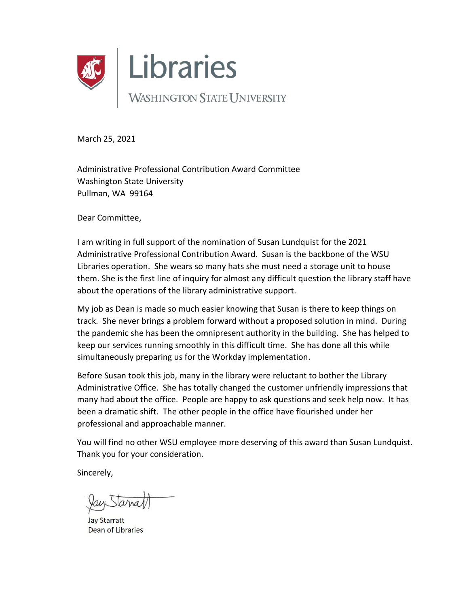

March 25, 2021

Administrative Professional Contribution Award Committee Washington State University Pullman, WA 99164

Dear Committee,

I am writing in full support of the nomination of Susan Lundquist for the 2021 Administrative Professional Contribution Award. Susan is the backbone of the WSU Libraries operation. She wears so many hats she must need a storage unit to house them. She is the first line of inquiry for almost any difficult question the library staff have about the operations of the library administrative support.

My job as Dean is made so much easier knowing that Susan is there to keep things on track. She never brings a problem forward without a proposed solution in mind. During the pandemic she has been the omnipresent authority in the building. She has helped to keep our services running smoothly in this difficult time. She has done all this while simultaneously preparing us for the Workday implementation.

Before Susan took this job, many in the library were reluctant to bother the Library Administrative Office. She has totally changed the customer unfriendly impressions that many had about the office. People are happy to ask questions and seek help now. It has been a dramatic shift. The other people in the office have flourished under her professional and approachable manner.

You will find no other WSU employee more deserving of this award than Susan Lundquist. Thank you for your consideration.

Sincerely,

**Jay Starratt** Dean of Libraries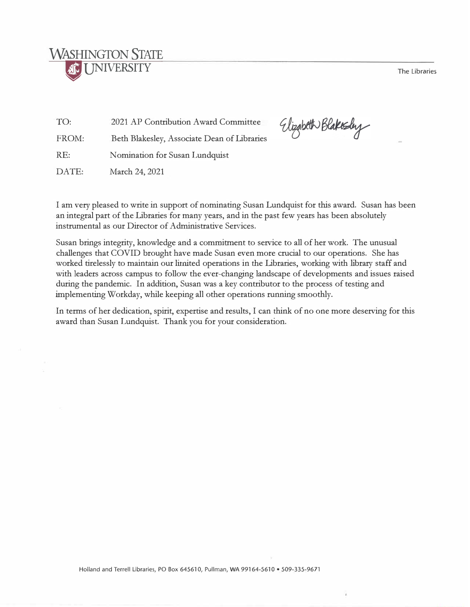The Libraries

## **WASHINGTON STATE NIVERSITY**

TO: 2021 AP Contribution Award Committee

FROM: Beth Blakesley, Associate Dean of Libraries

RE: Nomination for Susan Lundquist

DATE: March 24, 2021

Elizabeth Blakesby

I am very pleased to write in support of nominating Susan Lundquist for this award. Susan has been an integral part of the Libraries for many years, and in the past few years has been absolutely instrumental as our Director of Administrative Services.

Susan brings integrity, knowledge and a commitment to service to all of her work. The unusual challenges that COVID brought have made Susan even more crucial to our operations. She has worked tirelessly to maintain our limited operations in the Libraries, working with library staff and with leaders across campus to follow the ever-changing landscape of developments and issues raised during the pandemic. In addition, Susan was a key contributor to the process of testing and implementing Workday, while keeping all other operations running smoothly.

In terms of her dedication, spirit, expertise and results, I can think of no one more deserving for this award than Susan Lundquist. Thank you for your consideration.

Holland and Terrell Libraries, PO Box 645610, Pullman, WA 99164-5610 • 509-335-9671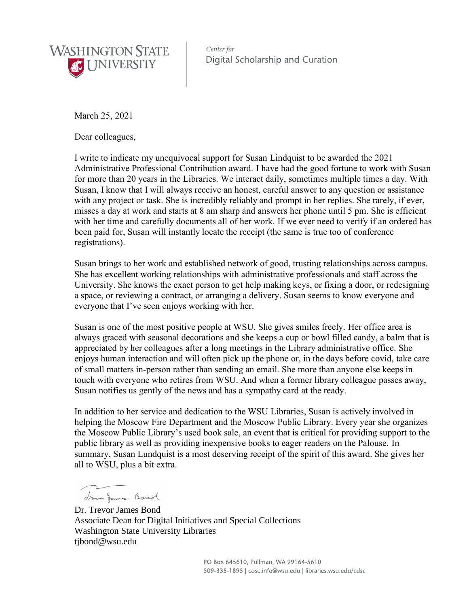

Center for Digital Scholarship and Curation

March 25, 2021

Dear colleagues,

I write to indicate my unequivocal support for Susan Lindquist to be awarded the 2021 Administrative Professional Contribution award. I have had the good fortune to work with Susan for more than 20 years in the Libraries. We interact daily, sometimes multiple times a day. With Susan, I know that I will always receive an honest, careful answer to any question or assistance with any project or task. She is incredibly reliably and prompt in her replies. She rarely, if ever, misses a day at work and starts at 8 am sharp and answers her phone until 5 pm. She is efficient with her time and carefully documents all of her work. If we ever need to verify if an ordered has been paid for, Susan will instantly locate the receipt (the same is true too of conference registrations).

Susan brings to her work and established network of good, trusting relationships across campus. She has excellent working relationships with administrative professionals and staff across the University. She knows the exact person to get help making keys, or fixing a door, or redesigning a space, or reviewing a contract, or arranging a delivery. Susan seems to know everyone and everyone that I've seen enjoys working with her.

Susan is one of the most positive people at WSU. She gives smiles freely. Her office area is always graced with seasonal decorations and she keeps a cup or bowl filled candy, a balm that is appreciated by her colleagues after a long meetings in the Library administrative office. She enjoys human interaction and will often pick up the phone or, in the days before covid, take care of small matters in-person rather than sending an email. She more than anyone else keeps in touch with everyone who retires from WSU. And when a former library colleague passes away, Susan notifies us gently of the news and has a sympathy card at the ready.

In addition to her service and dedication to the WSU Libraries, Susan is actively involved in helping the Moscow Fire Department and the Moscow Public Library. Every year she organizes the Moscow Public Library's used book sale, an event that is critical for providing support to the public library as well as providing inexpensive books to eager readers on the Palouse. In summary, Susan Lundquist is a most deserving receipt of the spirit of this award. She gives her all to WSU, plus a bit extra.

 $\sim$ drewn James Bond

Dr. Trevor James Bond Associate Dean for Digital Initiatives and Special Collections Washington State University Libraries tjbond@wsu.edu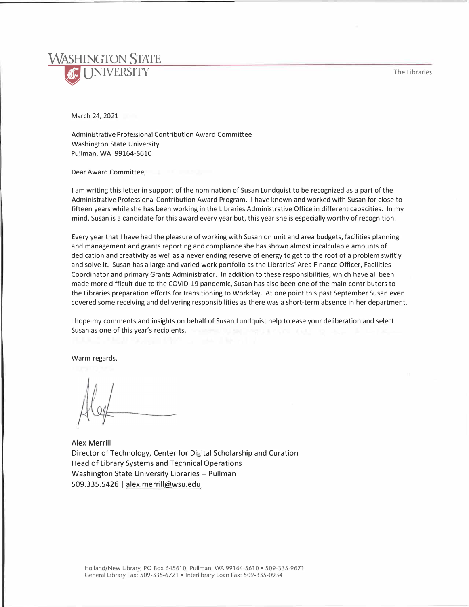

March 24, 2021

Administrative Professional Contribution Award Committee Washington State University Pullman, WA 99164-5610

Dear Award Committee,

I am writing this letter in support of the nomination of Susan Lundquist to be recognized as a part of the Administrative Professional Contribution Award Program. I have known and worked with Susan for close to fifteen years while she has been working in the Libraries Administrative Office in different capacities. In my mind, Susan is a candidate for this award every year but, this year she is especially worthy of recognition.

Every year that I have had the pleasure of working with Susan on unit and area budgets, facilities planning and management and grants reporting and compliance she has shown almost incalculable amounts of dedication and creativity as well as a never ending reserve of energy to get to the root of a problem swiftly and solve it. Susan has a large and varied work portfolio as the Libraries' Area Finance Officer, Facilities Coordinator and primary Grants Administrator. In addition to these responsibilities, which have all been made more difficult due to the COVID-19 pandemic, Susan has also been one of the main contributors to the Libraries preparation efforts for transitioning to Workday. At one point this past September Susan even covered some receiving and delivering responsibilities as there was a short-term absence in her department.

I hope my comments and insights on behalf of Susan Lundquist help to ease your deliberation and select Susan as one of this year's recipients.

Warm regards,

Alex Merrill Director of Technology, Center for Digital Scholarship and Curation Head of Library Systems and Technical Operations Washington State University Libraries -- Pullman 509.335.5426 | alex.merrill@wsu.edu